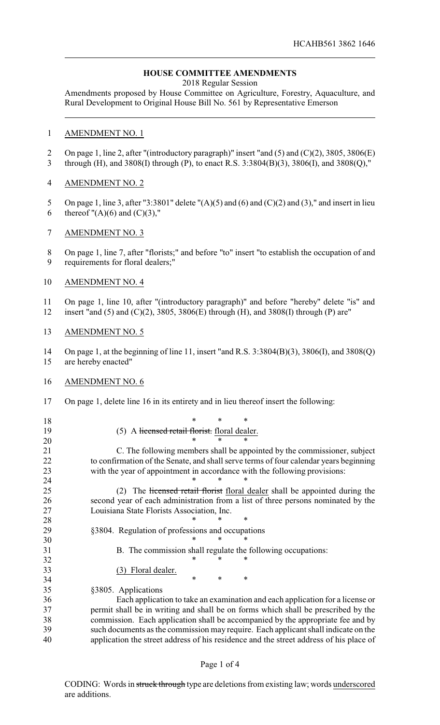## **HOUSE COMMITTEE AMENDMENTS**

2018 Regular Session

Amendments proposed by House Committee on Agriculture, Forestry, Aquaculture, and Rural Development to Original House Bill No. 561 by Representative Emerson

## AMENDMENT NO. 1

- 2 On page 1, line 2, after "(introductory paragraph)" insert "and (5) and (C)(2), 3805, 3806(E)
- through (H), and 3808(I) through (P), to enact R.S. 3:3804(B)(3), 3806(I), and 3808(Q),"

## AMENDMENT NO. 2

- 5 On page 1, line 3, after "3:3801" delete " $(A)(5)$  and  $(6)$  and  $(C)(2)$  and  $(3)$ ," and insert in lieu 6 thereof  $''(A)(6)$  and  $(C)(3)$ ,"
- AMENDMENT NO. 3
- On page 1, line 7, after "florists;" and before "to" insert "to establish the occupation of and requirements for floral dealers;"
- AMENDMENT NO. 4
- On page 1, line 10, after "(introductory paragraph)" and before "hereby" delete "is" and
- insert "and (5) and (C)(2), 3805, 3806(E) through (H), and 3808(I) through (P) are"
- AMENDMENT NO. 5

 On page 1, at the beginning of line 11, insert "and R.S. 3:3804(B)(3), 3806(I), and 3808(Q) are hereby enacted"

- AMENDMENT NO. 6
- On page 1, delete line 16 in its entirety and in lieu thereof insert the following:
- \* \* \* 19 (5) A licensed retail florist. floral dealer.<br>  $20 * * * * *$  \* \* \* C. The following members shall be appointed by the commissioner, subject to confirmation of the Senate, and shall serve terms of four calendar years beginning with the year of appointment in accordance with the following provisions:

**\*** \* \* \* 25 (2) The licensed retail florist floral dealer shall be appointed during the second year of each administration from a list of three persons nominated by the Louisiana State Florists Association, Inc.

- **\*** \* \* \* §3804. Regulation of professions and occupations
- \* \* \*
- B. The commission shall regulate the following occupations: 32 \* \* \* \*
- (3) Floral dealer.
- \* \* \* §3805. Applications

 Each application to take an examination and each application for a license or permit shall be in writing and shall be on forms which shall be prescribed by the commission. Each application shall be accompanied by the appropriate fee and by such documents as the commission may require. Each applicant shall indicate on the application the street address of his residence and the street address of his place of

## Page 1 of 4

CODING: Words in struck through type are deletions from existing law; words underscored are additions.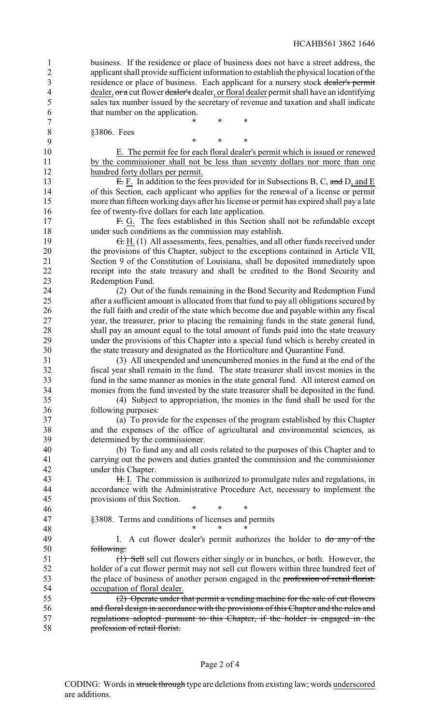business. If the residence or place of business does not have a street address, the applicant shall provide sufficient information to establish the physical location of the residence or place of business. Each applicant for a nursery stock dealer's permit 4 dealer, or a cut flower dealer's dealer, or floral dealer permit shall have an identifying sales tax number issued by the secretary of revenue and taxation and shall indicate that number on the application.

7 \* \* \* \*

 §3806. Fees \* \* \* E. The permit fee for each floral dealer's permit which is issued or renewed 11 by the commissioner shall not be less than seventy dollars nor more than one hundred forty dollars per permit. **E.** F. In addition to the fees provided for in Subsections B, C, and D, and E of this Section, each applicant who applies for the renewal of a license or permit more than fifteen working days after his license or permit has expired shall pay a late fee of twenty-five dollars for each late application. 17 F. G. The fees established in this Section shall not be refundable except under such conditions as the commission may establish. 19 <del>G.</del> H. (1) All assessments, fees, penalties, and all other funds received under the provisions of this Chapter, subject to the exceptions contained in Article VII, Section 9 of the Constitution of Louisiana, shall be deposited immediately upon receipt into the state treasury and shall be credited to the Bond Security and Redemption Fund. 24 (2) Out of the funds remaining in the Bond Security and Redemption Fund<br>25 after a sufficient amount is allocated from that fund to navall obligations secured by after a sufficient amount is allocated from that fund to pay all obligations secured by the full faith and credit of the state which become due and payable within any fiscal year, the treasurer, prior to placing the remaining funds in the state general fund, shall pay an amount equal to the total amount of funds paid into the state treasury under the provisions of this Chapter into a special fund which is hereby created in the state treasury and designated as the Horticulture and Quarantine Fund. (3) All unexpended and unencumbered monies in the fund at the end of the fiscal year shall remain in the fund. The state treasurer shall invest monies in the fund in the same manner as monies in the state general fund. All interest earned on monies from the fund invested by the state treasurer shall be deposited in the fund. (4) Subject to appropriation, the monies in the fund shall be used for the following purposes: (a) To provide for the expenses of the program established by this Chapter and the expenses of the office of agricultural and environmental sciences, as determined by the commissioner. (b) To fund any and all costs related to the purposes of this Chapter and to carrying out the powers and duties granted the commission and the commissioner under this Chapter. 43 H. I. The commission is authorized to promulgate rules and regulations, in accordance with the Administrative Procedure Act, necessary to implement the provisions of this Section. 46 \* \* \* \* \* §3808. Terms and conditions of licenses and permits 48 \* \* \* \* 49 I. A cut flower dealer's permit authorizes the holder to do any of the following: (1) Sell sell cut flowers either singly or in bunches, or both. However, the holder of a cut flower permit may not sell cut flowers within three hundred feet of 53 the place of business of another person engaged in the profession of retail florist.<br>54 cocupation of floral dealer. occupation of floral dealer. (2) Operate under that permit a vending machine for the sale of cut flowers and floral design in accordance with the provisions of this Chapter and the rules and regulations adopted pursuant to this Chapter, if the holder is engaged in the profession of retail florist.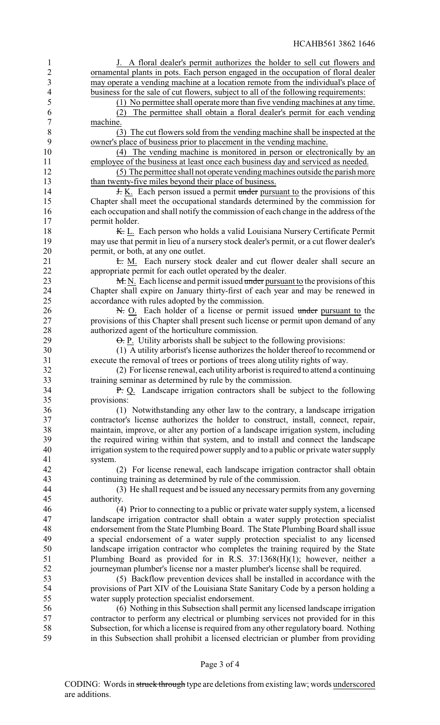| 1                        | J. A floral dealer's permit authorizes the holder to sell cut flowers and                |
|--------------------------|------------------------------------------------------------------------------------------|
| $\overline{2}$           | ornamental plants in pots. Each person engaged in the occupation of floral dealer        |
| 3                        | may operate a vending machine at a location remote from the individual's place of        |
| $\overline{\mathcal{A}}$ | business for the sale of cut flowers, subject to all of the following requirements:      |
| 5                        | (1) No permittee shall operate more than five vending machines at any time.              |
| 6                        | The permittee shall obtain a floral dealer's permit for each vending<br>(2)              |
| 7                        | machine.                                                                                 |
|                          |                                                                                          |
| $\,8\,$                  | (3) The cut flowers sold from the vending machine shall be inspected at the              |
| 9                        | owner's place of business prior to placement in the vending machine.                     |
| 10                       | (4) The vending machine is monitored in person or electronically by an                   |
| 11                       | employee of the business at least once each business day and serviced as needed.         |
| 12                       | (5) The permittee shall not operate vending machines outside the parish more             |
| 13                       | than twenty-five miles beyond their place of business.                                   |
| 14                       | <b>H.</b> K. Each person issued a permit under pursuant to the provisions of this        |
| 15                       | Chapter shall meet the occupational standards determined by the commission for           |
| 16                       | each occupation and shall notify the commission of each change in the address of the     |
| 17                       | permit holder.                                                                           |
| 18                       | K. L. Each person who holds a valid Louisiana Nursery Certificate Permit                 |
|                          |                                                                                          |
| 19                       | may use that permit in lieu of a nursery stock dealer's permit, or a cut flower dealer's |
| 20                       | permit, or both, at any one outlet.                                                      |
| 21                       | E. M. Each nursery stock dealer and cut flower dealer shall secure an                    |
| 22                       | appropriate permit for each outlet operated by the dealer.                               |
| 23                       | M. N. Each license and permit issued under pursuant to the provisions of this            |
| 24                       | Chapter shall expire on January thirty-first of each year and may be renewed in          |
| 25                       | accordance with rules adopted by the commission.                                         |
| 26                       | N. O. Each holder of a license or permit issued under pursuant to the                    |
| 27                       | provisions of this Chapter shall present such license or permit upon demand of any       |
| 28                       | authorized agent of the horticulture commission.                                         |
| 29                       | $\Theta$ . P. Utility arborists shall be subject to the following provisions:            |
|                          |                                                                                          |
| 30                       | (1) A utility arborist's license authorizes the holder thereof to recommend or           |
| 31                       | execute the removal of trees or portions of trees along utility rights of way.           |
| 32                       | (2) For license renewal, each utility arborist is required to attend a continuing        |
| 33                       | training seminar as determined by rule by the commission.                                |
| 34                       | P. Q. Landscape irrigation contractors shall be subject to the following                 |
| 35                       | provisions:                                                                              |
| 36                       | (1) Notwithstanding any other law to the contrary, a landscape irrigation                |
| 37                       | contractor's license authorizes the holder to construct, install, connect, repair,       |
| 38                       | maintain, improve, or alter any portion of a landscape irrigation system, including      |
| 39                       | the required wiring within that system, and to install and connect the landscape         |
| 40                       | irrigation system to the required power supply and to a public or private water supply   |
|                          |                                                                                          |
| 41                       | system.                                                                                  |
| 42                       | (2) For license renewal, each landscape irrigation contractor shall obtain               |
| 43                       | continuing training as determined by rule of the commission.                             |
| 44                       | (3) He shall request and be issued any necessary permits from any governing              |
| 45                       | authority.                                                                               |
| 46                       | (4) Prior to connecting to a public or private water supply system, a licensed           |
| 47                       | landscape irrigation contractor shall obtain a water supply protection specialist        |
| 48                       | endorsement from the State Plumbing Board. The State Plumbing Board shall issue          |
| 49                       | a special endorsement of a water supply protection specialist to any licensed            |
| 50                       | landscape irrigation contractor who completes the training required by the State         |
| 51                       | Plumbing Board as provided for in R.S. $37:1368(H)(1)$ ; however, neither a              |
| 52                       | journeyman plumber's license nor a master plumber's license shall be required.           |
|                          |                                                                                          |
| 53                       | (5) Backflow prevention devices shall be installed in accordance with the                |
| 54                       | provisions of Part XIV of the Louisiana State Sanitary Code by a person holding a        |
| 55                       | water supply protection specialist endorsement.                                          |
| 56                       | (6) Nothing in this Subsection shall permit any licensed landscape irrigation            |
| 57                       | contractor to perform any electrical or plumbing services not provided for in this       |
| 58                       | Subsection, for which a license is required from any other regulatory board. Nothing     |
| 59                       | in this Subsection shall prohibit a licensed electrician or plumber from providing       |
|                          |                                                                                          |